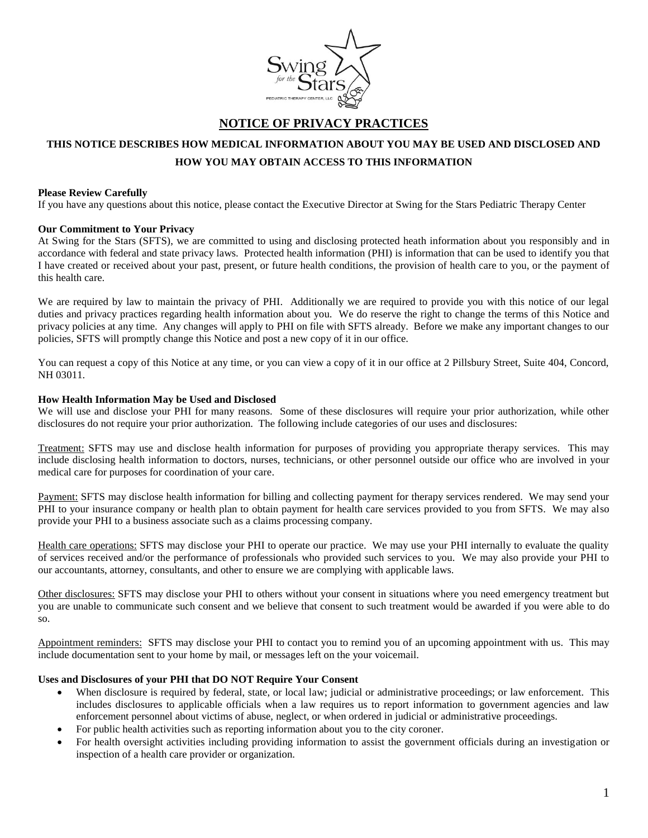

## **NOTICE OF PRIVACY PRACTICES**

# **THIS NOTICE DESCRIBES HOW MEDICAL INFORMATION ABOUT YOU MAY BE USED AND DISCLOSED AND HOW YOU MAY OBTAIN ACCESS TO THIS INFORMATION**

## **Please Review Carefully**

If you have any questions about this notice, please contact the Executive Director at Swing for the Stars Pediatric Therapy Center

## **Our Commitment to Your Privacy**

At Swing for the Stars (SFTS), we are committed to using and disclosing protected heath information about you responsibly and in accordance with federal and state privacy laws. Protected health information (PHI) is information that can be used to identify you that I have created or received about your past, present, or future health conditions, the provision of health care to you, or the payment of this health care.

We are required by law to maintain the privacy of PHI. Additionally we are required to provide you with this notice of our legal duties and privacy practices regarding health information about you. We do reserve the right to change the terms of this Notice and privacy policies at any time. Any changes will apply to PHI on file with SFTS already. Before we make any important changes to our policies, SFTS will promptly change this Notice and post a new copy of it in our office.

You can request a copy of this Notice at any time, or you can view a copy of it in our office at 2 Pillsbury Street, Suite 404, Concord, NH 03011.

## **How Health Information May be Used and Disclosed**

We will use and disclose your PHI for many reasons. Some of these disclosures will require your prior authorization, while other disclosures do not require your prior authorization. The following include categories of our uses and disclosures:

Treatment: SFTS may use and disclose health information for purposes of providing you appropriate therapy services. This may include disclosing health information to doctors, nurses, technicians, or other personnel outside our office who are involved in your medical care for purposes for coordination of your care.

Payment: SFTS may disclose health information for billing and collecting payment for therapy services rendered. We may send your PHI to your insurance company or health plan to obtain payment for health care services provided to you from SFTS. We may also provide your PHI to a business associate such as a claims processing company.

Health care operations: SFTS may disclose your PHI to operate our practice. We may use your PHI internally to evaluate the quality of services received and/or the performance of professionals who provided such services to you. We may also provide your PHI to our accountants, attorney, consultants, and other to ensure we are complying with applicable laws.

Other disclosures: SFTS may disclose your PHI to others without your consent in situations where you need emergency treatment but you are unable to communicate such consent and we believe that consent to such treatment would be awarded if you were able to do so.

Appointment reminders: SFTS may disclose your PHI to contact you to remind you of an upcoming appointment with us. This may include documentation sent to your home by mail, or messages left on the your voicemail.

## **Uses and Disclosures of your PHI that DO NOT Require Your Consent**

- When disclosure is required by federal, state, or local law; judicial or administrative proceedings; or law enforcement. This includes disclosures to applicable officials when a law requires us to report information to government agencies and law enforcement personnel about victims of abuse, neglect, or when ordered in judicial or administrative proceedings.
- For public health activities such as reporting information about you to the city coroner.
- For health oversight activities including providing information to assist the government officials during an investigation or inspection of a health care provider or organization.